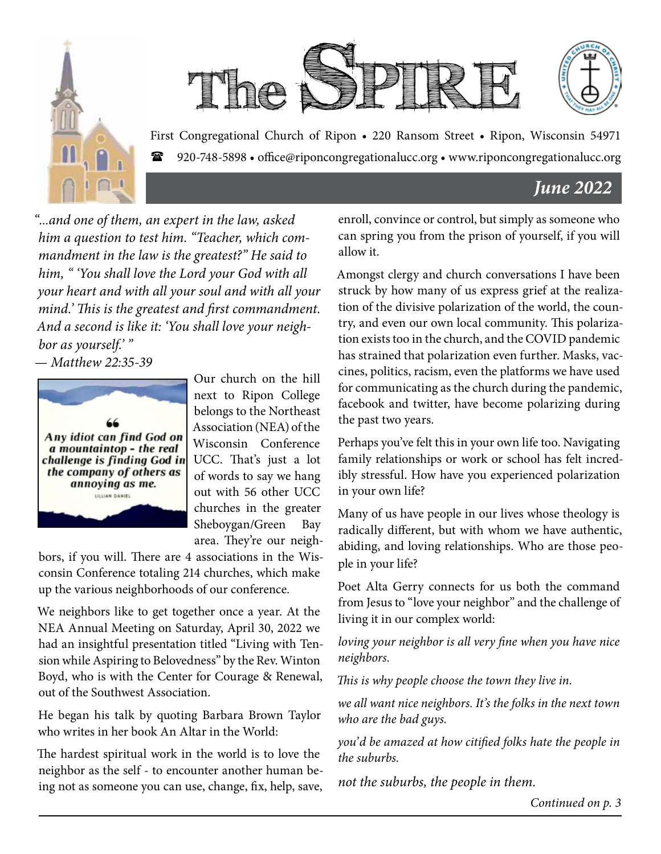



First Congregational Church of Ripon • 220 Ransom Street • Ripon, Wisconsin 54971 920-748-5898 • office@riponcongregationalucc.org • www.riponcongregationalucc.org

### *June 2022*

*"...and one of them, an expert in the law, asked him a question to test him. "Teacher, which commandment in the law is the greatest?" He said to him, " 'You shall love the Lord your God with all your heart and with all your soul and with all your mind.' This is the greatest and first commandment. And a second is like it: 'You shall love your neighbor as yourself.' "*

*— Matthew 22:35-39*



Our church on the hill next to Ripon College belongs to the Northeast Association (NEA) of the Wisconsin Conference UCC. That's just a lot of words to say we hang out with 56 other UCC churches in the greater Sheboygan/Green Bay area. They're our neigh-

bors, if you will. There are 4 associations in the Wisconsin Conference totaling 214 churches, which make up the various neighborhoods of our conference.

We neighbors like to get together once a year. At the NEA Annual Meeting on Saturday, April 30, 2022 we had an insightful presentation titled "Living with Tension while Aspiring to Belovedness" by the Rev. Winton Boyd, who is with the Center for Courage & Renewal, out of the Southwest Association.

He began his talk by quoting Barbara Brown Taylor who writes in her book An Altar in the World:

The hardest spiritual work in the world is to love the neighbor as the self - to encounter another human being not as someone you can use, change, fix, help, save, enroll, convince or control, but simply as someone who can spring you from the prison of yourself, if you will allow it.

Amongst clergy and church conversations I have been struck by how many of us express grief at the realization of the divisive polarization of the world, the country, and even our own local community. This polarization exists too in the church, and the COVID pandemic has strained that polarization even further. Masks, vaccines, politics, racism, even the platforms we have used for communicating as the church during the pandemic, facebook and twitter, have become polarizing during the past two years.

Perhaps you've felt this in your own life too. Navigating family relationships or work or school has felt incredibly stressful. How have you experienced polarization in your own life?

Many of us have people in our lives whose theology is radically different, but with whom we have authentic, abiding, and loving relationships. Who are those people in your life?

Poet Alta Gerry connects for us both the command from Jesus to "love your neighbor" and the challenge of living it in our complex world:

*loving your neighbor is all very fine when you have nice neighbors.*

*This is why people choose the town they live in.*

*we all want nice neighbors. It's the folks in the next town who are the bad guys.*

*you'd be amazed at how citified folks hate the people in the suburbs.* 

*not the suburbs, the people in them.*

*Continued on p. 3*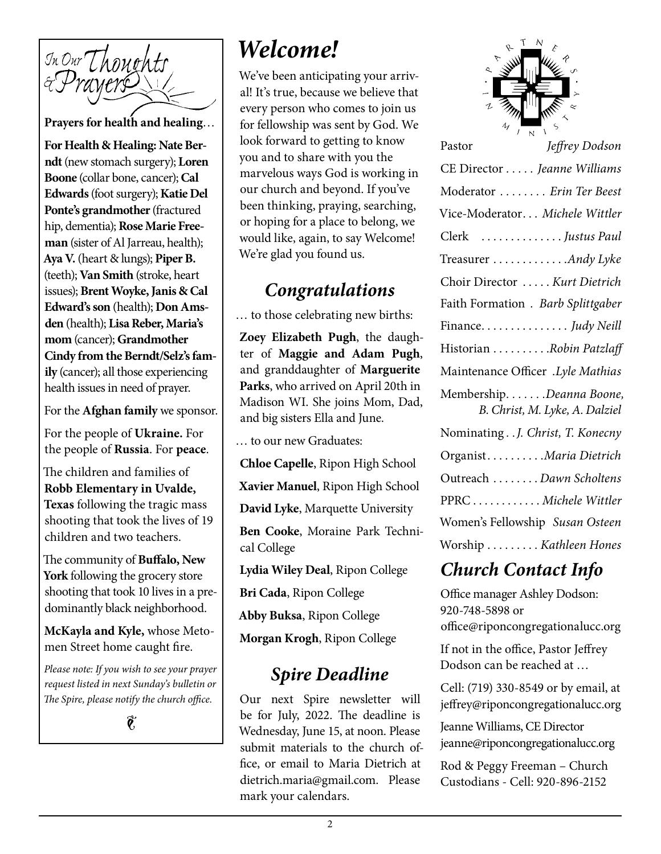

**Prayers for health and healing**…

**For Health & Healing: Nate Berndt** (new stomach surgery); **Loren Boone** (collar bone, cancer); **Cal Edwards** (foot surgery); **Katie Del Ponte's grandmother** (fractured hip, dementia); **Rose Marie Freeman** (sister of Al Jarreau, health); **Aya V.** (heart & lungs); **Piper B.**  (teeth); **Van Smith** (stroke, heart issues); **Brent Woyke, Janis & Cal Edward's son** (health); **Don Amsden** (health); **Lisa Reber, Maria's mom** (cancer); **Grandmother Cindy from the Berndt/Selz's family** (cancer); all those experiencing health issues in need of prayer.

For the **Afghan family** we sponsor.

For the people of **Ukraine.** For the people of **Russia**. For **peace**.

The children and families of **Robb Elementary in Uvalde, Texas** following the tragic mass shooting that took the lives of 19 children and two teachers.

The community of **Buffalo, New York** following the grocery store shooting that took 10 lives in a predominantly black neighborhood.

**McKayla and Kyle,** whose Metomen Street home caught fire.

*Please note: If you wish to see your prayer request listed in next Sunday's bulletin or The Spire, please notify the church office.*

 $\hat{\mathbf{e}}$ 

# *Welcome!*

We've been anticipating your arrival! It's true, because we believe that every person who comes to join us for fellowship was sent by God. We look forward to getting to know you and to share with you the marvelous ways God is working in our church and beyond. If you've been thinking, praying, searching, or hoping for a place to belong, we would like, again, to say Welcome! We're glad you found us.

### *Congratulations*

… to those celebrating new births:

**Zoey Elizabeth Pugh**, the daughter of **Maggie and Adam Pugh**, and granddaughter of **Marguerite Parks**, who arrived on April 20th in Madison WI. She joins Mom, Dad, and big sisters Ella and June.

… to our new Graduates:

**Chloe Capelle**, Ripon High School

**Xavier Manuel**, Ripon High School

**David Lyke**, Marquette University

**Ben Cooke**, Moraine Park Technical College

**Lydia Wiley Deal**, Ripon College

**Bri Cada**, Ripon College

**Abby Buksa**, Ripon College

**Morgan Krogh**, Ripon College

### *Spire Deadline*

Our next Spire newsletter will be for July, 2022. The deadline is Wednesday, June 15, at noon. Please submit materials to the church office, or email to Maria Dietrich at dietrich.maria@gmail.com. Please mark your calendars.



| Jeffrey Dodson<br>Pastor                                    |
|-------------------------------------------------------------|
| CE Director Jeanne Williams                                 |
| Moderator  Erin Ter Beest                                   |
| Vice-Moderator Michele Wittler                              |
| Clerk Justus Paul                                           |
| Treasurer Andy Lyke                                         |
| Choir Director  Kurt Dietrich                               |
| Faith Formation . Barb Splittgaber                          |
| Finance. Judy Neill                                         |
| Historian Robin Patzlaff                                    |
| Maintenance Officer .Lyle Mathias                           |
| Membership. Deanna Boone,<br>B. Christ, M. Lyke, A. Dalziel |
| Nominating J. Christ, T. Konecny                            |
| OrganistMaria Dietrich                                      |
| Outreach Dawn Scholtens                                     |
| PPRCMichele Wittler                                         |
| Women's Fellowship Susan Osteen                             |
| Worship  Kathleen Hones                                     |

## *Church Contact Info*

Office manager Ashley Dodson: 920-748-5898 or office@riponcongregationalucc.org

If not in the office, Pastor Jeffrey Dodson can be reached at …

Cell: (719) 330-8549 or by email, at jeffrey@riponcongregationalucc.org

Jeanne Williams, CE Director jeanne@riponcongregationalucc.org

Rod & Peggy Freeman – Church Custodians - Cell: 920-896-2152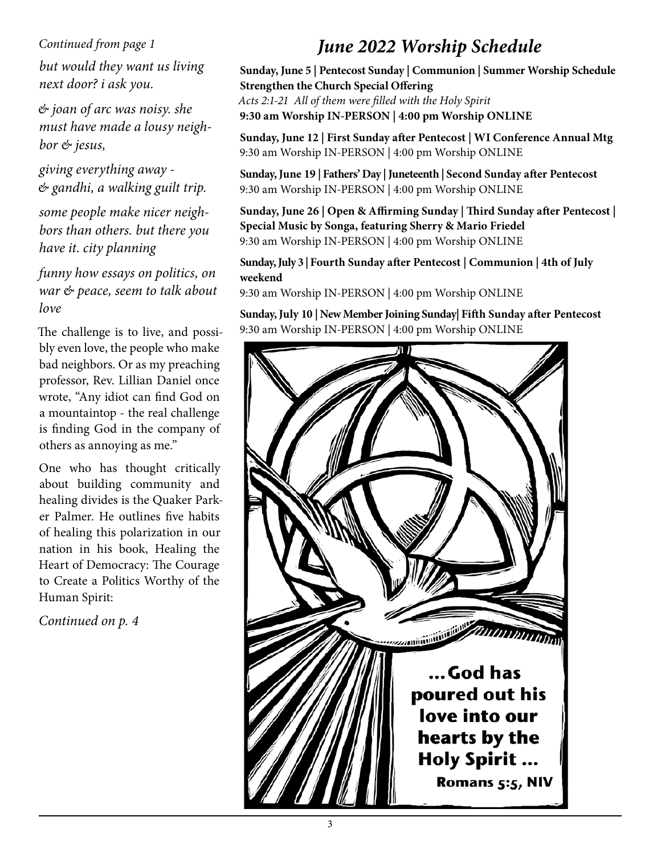#### *Continued from page 1*

*but would they want us living next door? i ask you.*

*& joan of arc was noisy. she must have made a lousy neighbor & jesus,*

*giving everything away - & gandhi, a walking guilt trip.*

*some people make nicer neighbors than others. but there you have it. city planning*

#### *funny how essays on politics, on war & peace, seem to talk about love*

The challenge is to live, and possibly even love, the people who make bad neighbors. Or as my preaching professor, Rev. Lillian Daniel once wrote, "Any idiot can find God on a mountaintop - the real challenge is finding God in the company of others as annoying as me."

One who has thought critically about building community and healing divides is the Quaker Parker Palmer. He outlines five habits of healing this polarization in our nation in his book, Healing the Heart of Democracy: The Courage to Create a Politics Worthy of the Human Spirit:

*Continued on p. 4*

# *June 2022 Worship Schedule*

**Sunday, June 5 | Pentecost Sunday | Communion | Summer Worship Schedule Strengthen the Church Special Offering**  *Acts 2:1-21 All of them were filled with the Holy Spirit* **9:30 am Worship IN-PERSON | 4:00 pm Worship ONLINE**

**Sunday, June 12 | First Sunday after Pentecost | WI Conference Annual Mtg**  9:30 am Worship IN-PERSON | 4:00 pm Worship ONLINE

**Sunday, June 19 | Fathers' Day | Juneteenth | Second Sunday after Pentecost** 9:30 am Worship IN-PERSON | 4:00 pm Worship ONLINE

**Sunday, June 26 | Open & Affirming Sunday | Third Sunday after Pentecost | Special Music by Songa, featuring Sherry & Mario Friedel** 9:30 am Worship IN-PERSON | 4:00 pm Worship ONLINE

**Sunday, July 3 | Fourth Sunday after Pentecost | Communion | 4th of July weekend**

9:30 am Worship IN-PERSON | 4:00 pm Worship ONLINE

**Sunday, July 10 | New Member Joining Sunday| Fifth Sunday after Pentecost** 9:30 am Worship IN-PERSON | 4:00 pm Worship ONLINE

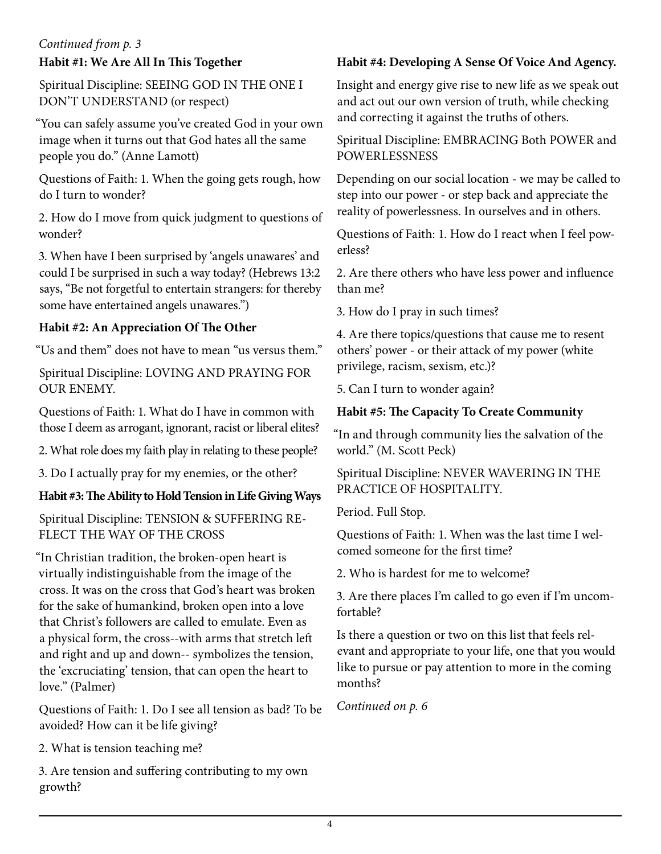#### **Habit #1: We Are All In This Together** *Continued from p. 3*

Spiritual Discipline: SEEING GOD IN THE ONE I DON'T UNDERSTAND (or respect)

"You can safely assume you've created God in your own image when it turns out that God hates all the same people you do." (Anne Lamott)

Questions of Faith: 1. When the going gets rough, how do I turn to wonder?

2. How do I move from quick judgment to questions of wonder?

3. When have I been surprised by 'angels unawares' and could I be surprised in such a way today? (Hebrews 13:2 says, "Be not forgetful to entertain strangers: for thereby some have entertained angels unawares.")

#### **Habit #2: An Appreciation Of The Other**

"Us and them" does not have to mean "us versus them."

Spiritual Discipline: LOVING AND PRAYING FOR OUR ENEMY.

Questions of Faith: 1. What do I have in common with those I deem as arrogant, ignorant, racist or liberal elites?

2. What role does my faith play in relating to these people?

3. Do I actually pray for my enemies, or the other?

#### **Habit #3: The Ability to Hold Tension in Life Giving Ways**

Spiritual Discipline: TENSION & SUFFERING RE-FLECT THE WAY OF THE CROSS

"In Christian tradition, the broken-open heart is virtually indistinguishable from the image of the cross. It was on the cross that God's heart was broken for the sake of humankind, broken open into a love that Christ's followers are called to emulate. Even as a physical form, the cross--with arms that stretch left and right and up and down-- symbolizes the tension, the 'excruciating' tension, that can open the heart to love." (Palmer)

Questions of Faith: 1. Do I see all tension as bad? To be avoided? How can it be life giving?

2. What is tension teaching me?

3. Are tension and suffering contributing to my own growth?

#### **Habit #4: Developing A Sense Of Voice And Agency.**

Insight and energy give rise to new life as we speak out and act out our own version of truth, while checking and correcting it against the truths of others.

Spiritual Discipline: EMBRACING Both POWER and POWERLESSNESS

Depending on our social location - we may be called to step into our power - or step back and appreciate the reality of powerlessness. In ourselves and in others.

Questions of Faith: 1. How do I react when I feel powerless?

2. Are there others who have less power and influence than me?

3. How do I pray in such times?

4. Are there topics/questions that cause me to resent others' power - or their attack of my power (white privilege, racism, sexism, etc.)?

5. Can I turn to wonder again?

#### **Habit #5: The Capacity To Create Community**

"In and through community lies the salvation of the world." (M. Scott Peck)

Spiritual Discipline: NEVER WAVERING IN THE PRACTICE OF HOSPITALITY.

Period. Full Stop.

Questions of Faith: 1. When was the last time I welcomed someone for the first time?

2. Who is hardest for me to welcome?

3. Are there places I'm called to go even if I'm uncomfortable?

Is there a question or two on this list that feels relevant and appropriate to your life, one that you would like to pursue or pay attention to more in the coming months?

*Continued on p. 6*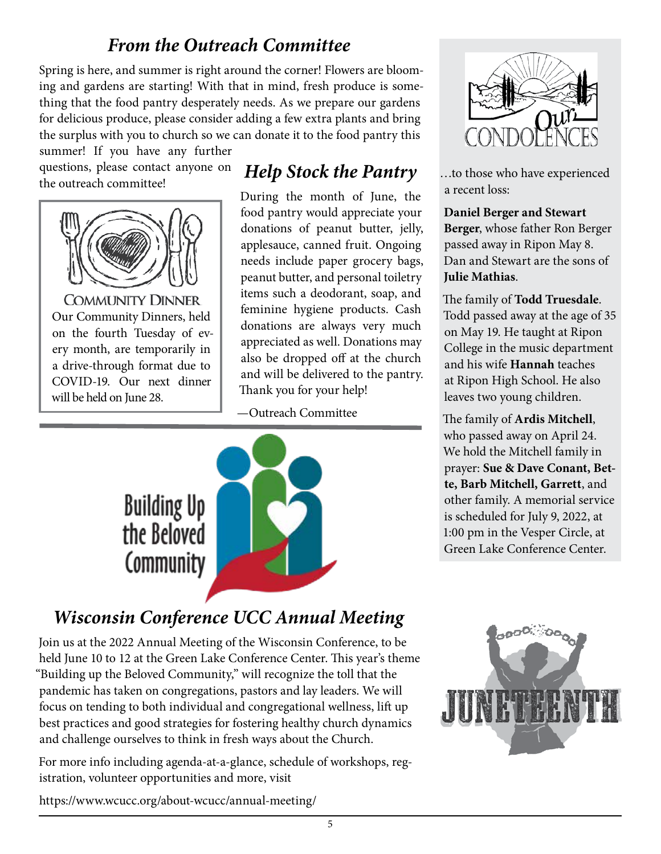## *From the Outreach Committee*

Spring is here, and summer is right around the corner! Flowers are blooming and gardens are starting! With that in mind, fresh produce is something that the food pantry desperately needs. As we prepare our gardens for delicious produce, please consider adding a few extra plants and bring the surplus with you to church so we can donate it to the food pantry this

summer! If you have any further questions, please contact anyone on the outreach committee!



**COMMUNITY DINNER** Our Community Dinners, held on the fourth Tuesday of every month, are temporarily in a drive-through format due to COVID-19. Our next dinner will be held on June 28.

# *Help Stock the Pantry*

During the month of June, the food pantry would appreciate your donations of peanut butter, jelly, applesauce, canned fruit. Ongoing needs include paper grocery bags, peanut butter, and personal toiletry items such a deodorant, soap, and feminine hygiene products. Cash donations are always very much appreciated as well. Donations may also be dropped off at the church and will be delivered to the pantry. Thank you for your help!

—Outreach Committee



# *Wisconsin Conference UCC Annual Meeting*

Join us at the 2022 Annual Meeting of the Wisconsin Conference, to be held June 10 to 12 at the Green Lake Conference Center. This year's theme "Building up the Beloved Community," will recognize the toll that the pandemic has taken on congregations, pastors and lay leaders. We will focus on tending to both individual and congregational wellness, lift up best practices and good strategies for fostering healthy church dynamics and challenge ourselves to think in fresh ways about the Church.

For more info including agenda-at-a-glance, schedule of workshops, registration, volunteer opportunities and more, visit

https://www.wcucc.org/about-wcucc/annual-meeting/



…to those who have experienced a recent loss:

#### **Daniel Berger and Stewart Berger**, whose father Ron Berger passed away in Ripon May 8. Dan and Stewart are the sons of **Julie Mathias**.

The family of **Todd Truesdale**. Todd passed away at the age of 35 on May 19. He taught at Ripon College in the music department and his wife **Hannah** teaches at Ripon High School. He also leaves two young children.

The family of **Ardis Mitchell**, who passed away on April 24. We hold the Mitchell family in prayer: **Sue & Dave Conant, Bette, Barb Mitchell, Garrett**, and other family. A memorial service is scheduled for July 9, 2022, at 1:00 pm in the Vesper Circle, at Green Lake Conference Center.

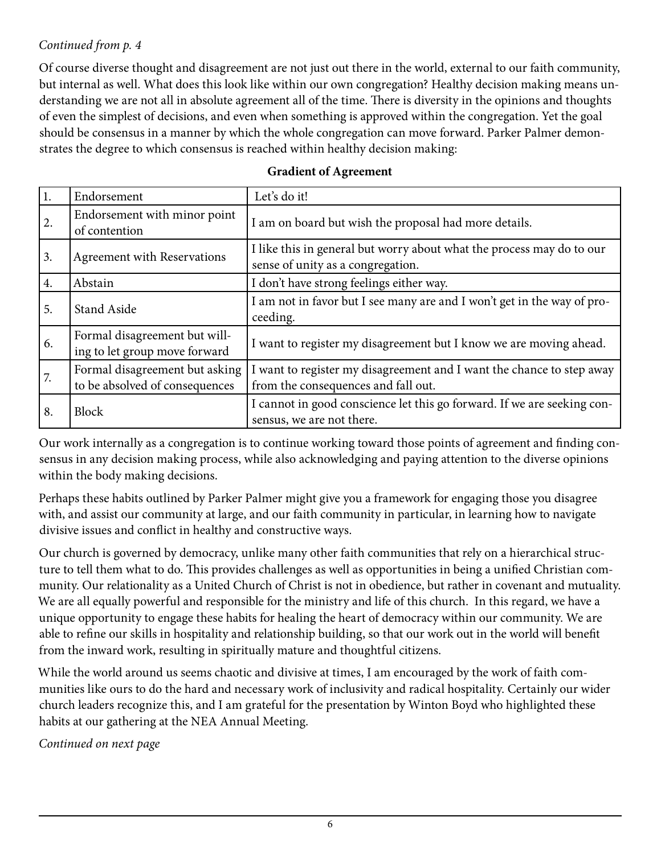#### *Continued from p. 4*

Of course diverse thought and disagreement are not just out there in the world, external to our faith community, but internal as well. What does this look like within our own congregation? Healthy decision making means understanding we are not all in absolute agreement all of the time. There is diversity in the opinions and thoughts of even the simplest of decisions, and even when something is approved within the congregation. Yet the goal should be consensus in a manner by which the whole congregation can move forward. Parker Palmer demonstrates the degree to which consensus is reached within healthy decision making:

| 1. | Endorsement                                                      | Let's do it!                                                                                                 |  |  |
|----|------------------------------------------------------------------|--------------------------------------------------------------------------------------------------------------|--|--|
| 2. | Endorsement with minor point<br>of contention                    | I am on board but wish the proposal had more details.                                                        |  |  |
| 3. | Agreement with Reservations                                      | I like this in general but worry about what the process may do to our<br>sense of unity as a congregation.   |  |  |
| 4. | Abstain                                                          | I don't have strong feelings either way.                                                                     |  |  |
| 5. | <b>Stand Aside</b>                                               | I am not in favor but I see many are and I won't get in the way of pro-<br>ceeding.                          |  |  |
| 6. | Formal disagreement but will-<br>ing to let group move forward   | I want to register my disagreement but I know we are moving ahead.                                           |  |  |
| 7. | Formal disagreement but asking<br>to be absolved of consequences | I want to register my disagreement and I want the chance to step away<br>from the consequences and fall out. |  |  |
| 8. | <b>Block</b>                                                     | I cannot in good conscience let this go forward. If we are seeking con-<br>sensus, we are not there.         |  |  |

#### **Gradient of Agreement**

Our work internally as a congregation is to continue working toward those points of agreement and finding consensus in any decision making process, while also acknowledging and paying attention to the diverse opinions within the body making decisions.

Perhaps these habits outlined by Parker Palmer might give you a framework for engaging those you disagree with, and assist our community at large, and our faith community in particular, in learning how to navigate divisive issues and conflict in healthy and constructive ways.

Our church is governed by democracy, unlike many other faith communities that rely on a hierarchical structure to tell them what to do. This provides challenges as well as opportunities in being a unified Christian community. Our relationality as a United Church of Christ is not in obedience, but rather in covenant and mutuality. We are all equally powerful and responsible for the ministry and life of this church. In this regard, we have a unique opportunity to engage these habits for healing the heart of democracy within our community. We are able to refine our skills in hospitality and relationship building, so that our work out in the world will benefit from the inward work, resulting in spiritually mature and thoughtful citizens.

While the world around us seems chaotic and divisive at times, I am encouraged by the work of faith communities like ours to do the hard and necessary work of inclusivity and radical hospitality. Certainly our wider church leaders recognize this, and I am grateful for the presentation by Winton Boyd who highlighted these habits at our gathering at the NEA Annual Meeting.

*Continued on next page*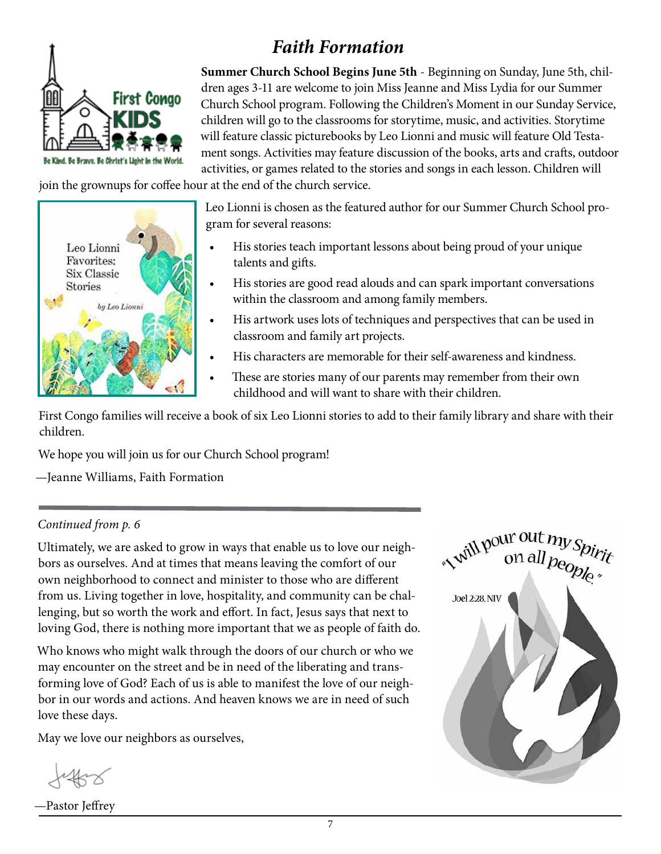

 *Faith Formation*

**Summer Church School Begins June 5th** - Beginning on Sunday, June 5th, children ages 3-11 are welcome to join Miss Jeanne and Miss Lydia for our Summer Church School program. Following the Children's Moment in our Sunday Service, children will go to the classrooms for storytime, music, and activities. Storytime will feature classic picturebooks by Leo Lionni and music will feature Old Testament songs. Activities may feature discussion of the books, arts and crafts, outdoor activities, or games related to the stories and songs in each lesson. Children will

join the grownups for coffee hour at the end of the church service.



Leo Lionni is chosen as the featured author for our Summer Church School program for several reasons:

- His stories teach important lessons about being proud of your unique talents and gifts.
- His stories are good read alouds and can spark important conversations within the classroom and among family members.
- His artwork uses lots of techniques and perspectives that can be used in classroom and family art projects.
- His characters are memorable for their self-awareness and kindness.
- These are stories many of our parents may remember from their own childhood and will want to share with their children.

First Congo families will receive a book of six Leo Lionni stories to add to their family library and share with their children.

We hope you will join us for our Church School program!

—Jeanne Williams, Faith Formation

#### *Continued from p. 6*

Ultimately, we are asked to grow in ways that enable us to love our neighbors as ourselves. And at times that means leaving the comfort of our own neighborhood to connect and minister to those who are different from us. Living together in love, hospitality, and community can be challenging, but so worth the work and effort. In fact, Jesus says that next to loving God, there is nothing more important that we as people of faith do.

Who knows who might walk through the doors of our church or who we may encounter on the street and be in need of the liberating and transforming love of God? Each of us is able to manifest the love of our neighbor in our words and actions. And heaven knows we are in need of such love these days.

May we love our neighbors as ourselves,

—Pastor Jeffrey

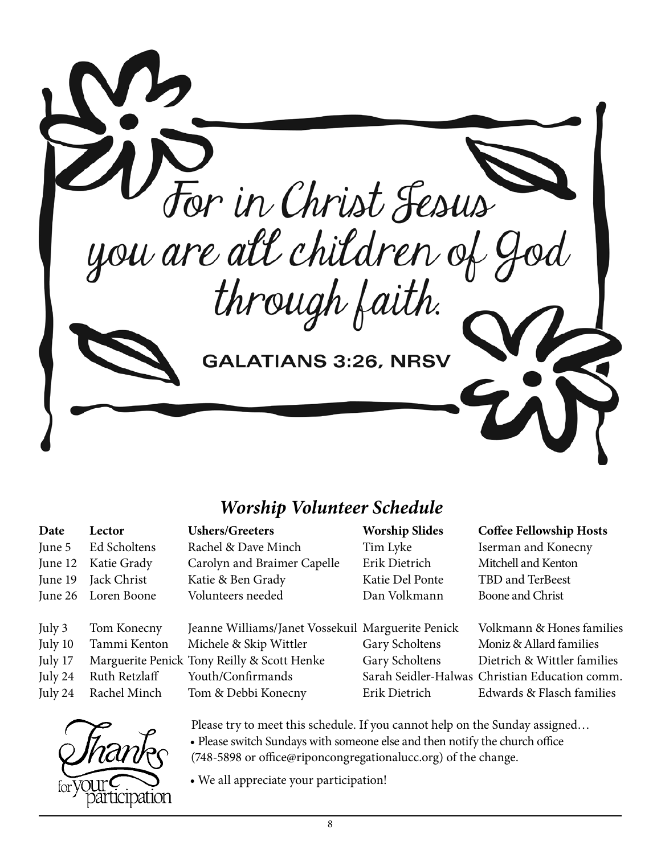

### *Worship Volunteer Schedule*

| Date    | Lector        | <b>Ushers/Greeters</b>                            | <b>Worship Slides</b> | <b>Coffee Fellowship Hosts</b>                 |
|---------|---------------|---------------------------------------------------|-----------------------|------------------------------------------------|
| June 5  | Ed Scholtens  | Rachel & Dave Minch                               | Tim Lyke              | Iserman and Konecny                            |
| June 12 | Katie Grady   | Carolyn and Braimer Capelle                       | Erik Dietrich         | Mitchell and Kenton                            |
| June 19 | Jack Christ   | Katie & Ben Grady                                 | Katie Del Ponte       | TBD and TerBeest                               |
| June 26 | Loren Boone   | Volunteers needed                                 | Dan Volkmann          | Boone and Christ                               |
|         |               |                                                   |                       |                                                |
| July 3  | Tom Konecny   | Jeanne Williams/Janet Vossekuil Marguerite Penick |                       | Volkmann & Hones families                      |
| July 10 | Tammi Kenton  | Michele & Skip Wittler                            | Gary Scholtens        | Moniz & Allard families                        |
| July 17 |               | Marguerite Penick Tony Reilly & Scott Henke       | Gary Scholtens        | Dietrich & Wittler families                    |
| July 24 | Ruth Retzlaff | Youth/Confirmands                                 |                       | Sarah Seidler-Halwas Christian Education comm. |
| July 24 | Rachel Minch  | Tom & Debbi Konecny                               | Erik Dietrich         | Edwards & Flasch families                      |
|         |               |                                                   |                       |                                                |



Please try to meet this schedule. If you cannot help on the Sunday assigned… • Please switch Sundays with someone else and then notify the church office (748-5898 or office@riponcongregationalucc.org) of the change.

• We all appreciate your participation!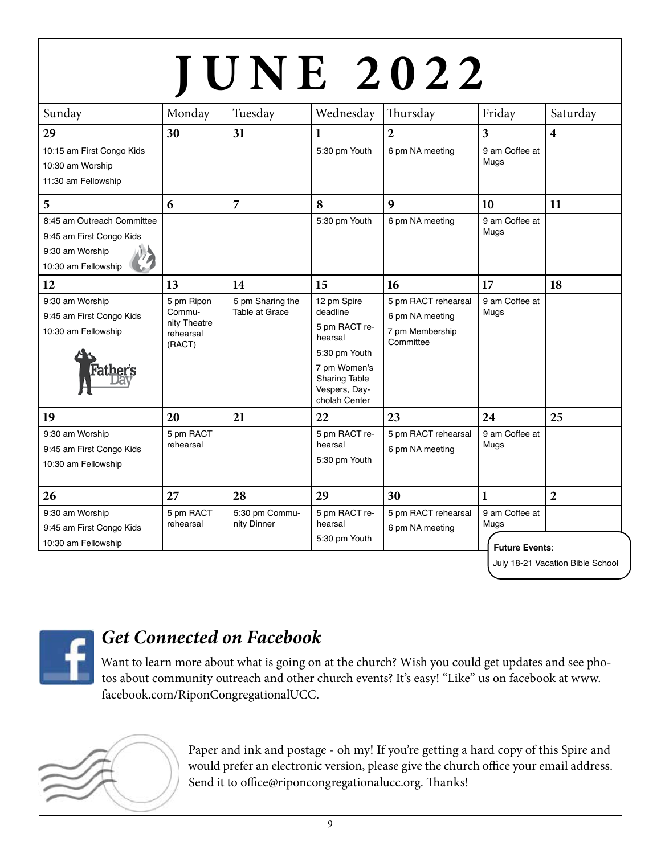|                            |                                     |                                    |                                | <b>JUNE 2022</b>                       |                         |                         |
|----------------------------|-------------------------------------|------------------------------------|--------------------------------|----------------------------------------|-------------------------|-------------------------|
|                            |                                     |                                    |                                |                                        |                         |                         |
| Sunday                     | Monday                              | Tuesday                            | Wednesday                      | Thursday                               | Friday                  | Saturday                |
| 29                         | 30                                  | 31                                 | $\mathbf{1}$                   | $\overline{2}$                         | $\overline{\mathbf{3}}$ | $\overline{\mathbf{4}}$ |
| 10:15 am First Congo Kids  |                                     |                                    | 5:30 pm Youth                  | 6 pm NA meeting                        | 9 am Coffee at          |                         |
| 10:30 am Worship           |                                     |                                    |                                |                                        | Mugs                    |                         |
| 11:30 am Fellowship        |                                     |                                    |                                |                                        |                         |                         |
| 5                          | 6                                   | $\overline{7}$                     | 8                              | $\boldsymbol{9}$                       | 10                      | 11                      |
| 8:45 am Outreach Committee |                                     |                                    | 5:30 pm Youth                  | 6 pm NA meeting                        | 9 am Coffee at          |                         |
| 9:45 am First Congo Kids   |                                     |                                    |                                |                                        | Mugs                    |                         |
| 9:30 am Worship            |                                     |                                    |                                |                                        |                         |                         |
| 10:30 am Fellowship        |                                     |                                    |                                |                                        |                         |                         |
| 12                         | 13                                  | 14                                 | 15                             | 16                                     | 17                      | 18                      |
| 9:30 am Worship            | 5 pm Ripon                          | 5 pm Sharing the<br>Table at Grace | 12 pm Spire<br>deadline        | 5 pm RACT rehearsal                    | 9 am Coffee at          |                         |
| 9:45 am First Congo Kids   | Commu-<br>nity Theatre<br>rehearsal |                                    |                                | 6 pm NA meeting<br>7 pm Membership     | Mugs                    |                         |
| 10:30 am Fellowship        |                                     |                                    | 5 pm RACT re-<br>hearsal       |                                        |                         |                         |
|                            | (RACT)                              |                                    | 5:30 pm Youth                  | Committee                              |                         |                         |
|                            |                                     |                                    | 7 pm Women's                   |                                        |                         |                         |
|                            |                                     |                                    | <b>Sharing Table</b>           |                                        |                         |                         |
|                            |                                     |                                    | Vespers, Day-<br>cholah Center |                                        |                         |                         |
| 19                         | 20                                  | 21                                 | 22                             | 23                                     | 24                      | 25                      |
| 9:30 am Worship            | 5 pm RACT                           |                                    | 5 pm RACT re-                  | 5 pm RACT rehearsal<br>6 pm NA meeting | 9 am Coffee at<br>Mugs  |                         |
| 9:45 am First Congo Kids   | rehearsal                           |                                    | hearsal                        |                                        |                         |                         |
| 10:30 am Fellowship        |                                     |                                    | 5:30 pm Youth                  |                                        |                         |                         |
|                            |                                     |                                    |                                |                                        |                         |                         |
| 26                         | 27                                  | 28                                 | 29                             | 30                                     | 1                       | $\overline{2}$          |
| 9:30 am Worship            | 5 pm RACT                           |                                    | 5 pm RACT re-                  | 5 pm RACT rehearsal                    | 9 am Coffee at          |                         |
| 9:45 am First Congo Kids   | rehearsal                           | nity Dinner                        | hearsal                        | 6 pm NA meeting                        | Mugs                    |                         |
| 10:30 am Fellowship        |                                     |                                    | 5:30 pm Youth                  |                                        | <b>Future Events:</b>   |                         |



# *Get Connected on Facebook*

Want to learn more about what is going on at the church? Wish you could get updates and see photos about community outreach and other church events? It's easy! "Like" us on facebook at www. facebook.com/RiponCongregationalUCC.



Paper and ink and postage - oh my! If you're getting a hard copy of this Spire and would prefer an electronic version, please give the church office your email address. Send it to office@riponcongregationalucc.org. Thanks!